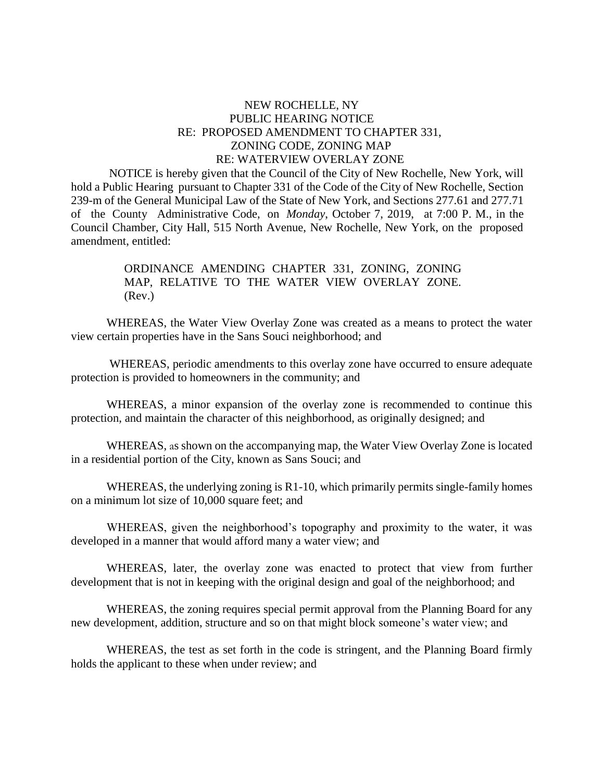## NEW ROCHELLE, NY PUBLIC HEARING NOTICE RE: PROPOSED AMENDMENT TO CHAPTER 331, ZONING CODE, ZONING MAP RE: WATERVIEW OVERLAY ZONE

 NOTICE is hereby given that the Council of the City of New Rochelle, New York, will hold a Public Hearing pursuant to Chapter 331 of the Code of the City of New Rochelle, Section 239-m of the General Municipal Law of the State of New York, and Sections 277.61 and 277.71 of the County Administrative Code, on *Monday*, October 7, 2019, at 7:00 P. M., in the Council Chamber, City Hall, 515 North Avenue, New Rochelle, New York, on the proposed amendment, entitled:

> ORDINANCE AMENDING CHAPTER 331, ZONING, ZONING MAP, RELATIVE TO THE WATER VIEW OVERLAY ZONE. (Rev.)

WHEREAS, the Water View Overlay Zone was created as a means to protect the water view certain properties have in the Sans Souci neighborhood; and

WHEREAS, periodic amendments to this overlay zone have occurred to ensure adequate protection is provided to homeowners in the community; and

WHEREAS, a minor expansion of the overlay zone is recommended to continue this protection, and maintain the character of this neighborhood, as originally designed; and

WHEREAS, as shown on the accompanying map, the Water View Overlay Zone is located in a residential portion of the City, known as Sans Souci; and

WHEREAS, the underlying zoning is R1-10, which primarily permits single-family homes on a minimum lot size of 10,000 square feet; and

WHEREAS, given the neighborhood's topography and proximity to the water, it was developed in a manner that would afford many a water view; and

WHEREAS, later, the overlay zone was enacted to protect that view from further development that is not in keeping with the original design and goal of the neighborhood; and

WHEREAS, the zoning requires special permit approval from the Planning Board for any new development, addition, structure and so on that might block someone's water view; and

WHEREAS, the test as set forth in the code is stringent, and the Planning Board firmly holds the applicant to these when under review; and